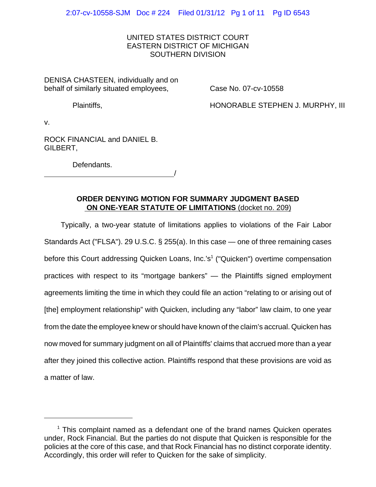## UNITED STATES DISTRICT COURT EASTERN DISTRICT OF MICHIGAN SOUTHERN DIVISION

DENISA CHASTEEN, individually and on behalf of similarly situated employees,

Case No. 07-cv-10558

Plaintiffs,

HONORABLE STEPHEN J. MURPHY, III

v.

ROCK FINANCIAL and DANIEL B. GILBERT,

Defendants.

<u>/</u>

## **ORDER DENYING MOTION FOR SUMMARY JUDGMENT BASED ON ONE-YEAR STATUTE OF LIMITATIONS** (docket no. 209)

Typically, a two-year statute of limitations applies to violations of the Fair Labor Standards Act ("FLSA"). 29 U.S.C. § 255(a). In this case — one of three remaining cases before this Court addressing Quicken Loans, Inc.'s<sup>1</sup> ("Quicken") overtime compensation practices with respect to its "mortgage bankers" — the Plaintiffs signed employment agreements limiting the time in which they could file an action "relating to or arising out of [the] employment relationship" with Quicken, including any "labor" law claim, to one year from the date the employee knew or should have known of the claim's accrual. Quicken has now moved for summary judgment on all of Plaintiffs' claims that accrued more than a year after they joined this collective action. Plaintiffs respond that these provisions are void as a matter of law.

<sup>&</sup>lt;sup>1</sup> This complaint named as a defendant one of the brand names Quicken operates under, Rock Financial. But the parties do not dispute that Quicken is responsible for the policies at the core of this case, and that Rock Financial has no distinct corporate identity. Accordingly, this order will refer to Quicken for the sake of simplicity.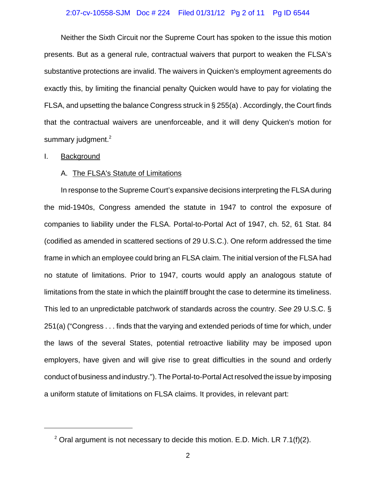### 2:07-cv-10558-SJM Doc # 224 Filed 01/31/12 Pg 2 of 11 Pg ID 6544

Neither the Sixth Circuit nor the Supreme Court has spoken to the issue this motion presents. But as a general rule, contractual waivers that purport to weaken the FLSA's substantive protections are invalid. The waivers in Quicken's employment agreements do exactly this, by limiting the financial penalty Quicken would have to pay for violating the FLSA, and upsetting the balance Congress struck in § 255(a) . Accordingly, the Court finds that the contractual waivers are unenforceable, and it will deny Quicken's motion for summary judgment.<sup>2</sup>

#### I. Background

## A. The FLSA's Statute of Limitations

In response to the Supreme Court's expansive decisions interpreting the FLSA during the mid-1940s, Congress amended the statute in 1947 to control the exposure of companies to liability under the FLSA. Portal-to-Portal Act of 1947, ch. 52, 61 Stat. 84 (codified as amended in scattered sections of 29 U.S.C.). One reform addressed the time frame in which an employee could bring an FLSA claim. The initial version of the FLSA had no statute of limitations. Prior to 1947, courts would apply an analogous statute of limitations from the state in which the plaintiff brought the case to determine its timeliness. This led to an unpredictable patchwork of standards across the country. *See* 29 U.S.C. § 251(a) ("Congress . . . finds that the varying and extended periods of time for which, under the laws of the several States, potential retroactive liability may be imposed upon employers, have given and will give rise to great difficulties in the sound and orderly conduct of business and industry."). The Portal-to-Portal Act resolved the issue by imposing a uniform statute of limitations on FLSA claims. It provides, in relevant part:

<sup>&</sup>lt;sup>2</sup> Oral argument is not necessary to decide this motion. E.D. Mich. LR 7.1(f)(2).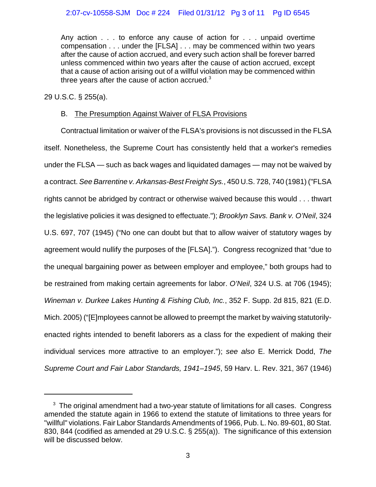# 2:07-cv-10558-SJM Doc # 224 Filed 01/31/12 Pg 3 of 11 Pg ID 6545

Any action . . . to enforce any cause of action for . . . unpaid overtime compensation . . . under the [FLSA] . . . may be commenced within two years after the cause of action accrued, and every such action shall be forever barred unless commenced within two years after the cause of action accrued, except that a cause of action arising out of a willful violation may be commenced within three years after the cause of action accrued. $3$ 

29 U.S.C. § 255(a).

## B. The Presumption Against Waiver of FLSA Provisions

Contractual limitation or waiver of the FLSA's provisions is not discussed in the FLSA itself. Nonetheless, the Supreme Court has consistently held that a worker's remedies under the FLSA — such as back wages and liquidated damages — may not be waived by a contract. *See Barrentine v. Arkansas-Best Freight Sys.*, 450 U.S. 728, 740 (1981) ("FLSA rights cannot be abridged by contract or otherwise waived because this would . . . thwart the legislative policies it was designed to effectuate."); *Brooklyn Savs. Bank v. O'Neil*, 324 U.S. 697, 707 (1945) ("No one can doubt but that to allow waiver of statutory wages by agreement would nullify the purposes of the [FLSA]."). Congress recognized that "due to the unequal bargaining power as between employer and employee," both groups had to be restrained from making certain agreements for labor. *O'Neil*, 324 U.S. at 706 (1945); *Wineman v. Durkee Lakes Hunting & Fishing Club, Inc.*, 352 F. Supp. 2d 815, 821 (E.D. Mich. 2005) ("[E]mployees cannot be allowed to preempt the market by waiving statutorilyenacted rights intended to benefit laborers as a class for the expedient of making their individual services more attractive to an employer."); *see also* E. Merrick Dodd, *The Supreme Court and Fair Labor Standards, 1941–1945*, 59 Harv. L. Rev. 321, 367 (1946)

 $3$  The original amendment had a two-year statute of limitations for all cases. Congress amended the statute again in 1966 to extend the statute of limitations to three years for "willful" violations. Fair Labor Standards Amendments of 1966, Pub. L. No. 89-601, 80 Stat. 830, 844 (codified as amended at 29 U.S.C. § 255(a)). The significance of this extension will be discussed below.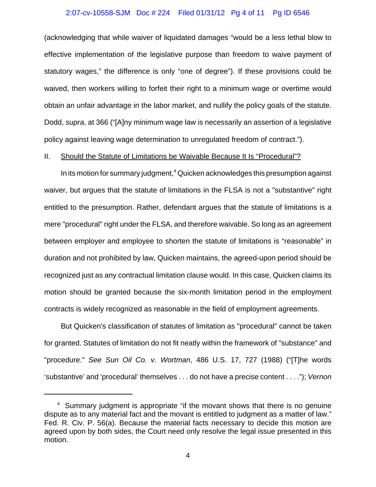#### 2:07-cv-10558-SJM Doc # 224 Filed 01/31/12 Pg 4 of 11 Pg ID 6546

(acknowledging that while waiver of liquidated damages "would be a less lethal blow to effective implementation of the legislative purpose than freedom to waive payment of statutory wages," the difference is only "one of degree"). If these provisions could be waived, then workers willing to forfeit their right to a minimum wage or overtime would obtain an unfair advantage in the labor market, and nullify the policy goals of the statute. Dodd, *supra*, at 366 ("[A]ny minimum wage law is necessarily an assertion of a legislative policy against leaving wage determination to unregulated freedom of contract.").

#### II. Should the Statute of Limitations be Waivable Because It Is "Procedural"?

In its motion for summary judgment,<sup>4</sup> Quicken acknowledges this presumption against waiver, but argues that the statute of limitations in the FLSA is not a "substantive" right entitled to the presumption. Rather, defendant argues that the statute of limitations is a mere "procedural" right under the FLSA, and therefore waivable. So long as an agreement between employer and employee to shorten the statute of limitations is "reasonable" in duration and not prohibited by law, Quicken maintains, the agreed-upon period should be recognized just as any contractual limitation clause would. In this case, Quicken claims its motion should be granted because the six-month limitation period in the employment contracts is widely recognized as reasonable in the field of employment agreements.

But Quicken's classification of statutes of limitation as "procedural" cannot be taken for granted. Statutes of limitation do not fit neatly within the framework of "substance" and "procedure." *See Sun Oil Co. v. Wortman*, 486 U.S. 17, 727 (1988) ("[T]he words 'substantive' and 'procedural' themselves . . . do not have a precise content . . . ."); *Vernon*

<sup>&</sup>lt;sup>4</sup> Summary judgment is appropriate "if the movant shows that there is no genuine dispute as to any material fact and the movant is entitled to judgment as a matter of law." Fed. R. Civ. P. 56(a). Because the material facts necessary to decide this motion are agreed upon by both sides, the Court need only resolve the legal issue presented in this motion.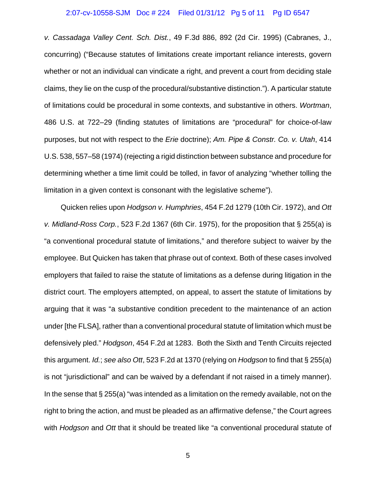#### 2:07-cv-10558-SJM Doc # 224 Filed 01/31/12 Pg 5 of 11 Pg ID 6547

*v. Cassadaga Valley Cent. Sch. Dist.*, 49 F.3d 886, 892 (2d Cir. 1995) (Cabranes, J., concurring) ("Because statutes of limitations create important reliance interests, govern whether or not an individual can vindicate a right, and prevent a court from deciding stale claims, they lie on the cusp of the procedural/substantive distinction."). A particular statute of limitations could be procedural in some contexts, and substantive in others. *Wortman*, 486 U.S. at 722–29 (finding statutes of limitations are "procedural" for choice-of-law purposes, but not with respect to the *Erie* doctrine); *Am. Pipe & Constr. Co. v. Utah*, 414 U.S. 538, 557–58 (1974) (rejecting a rigid distinction between substance and procedure for determining whether a time limit could be tolled, in favor of analyzing "whether tolling the limitation in a given context is consonant with the legislative scheme").

Quicken relies upon *Hodgson v. Humphries*, 454 F.2d 1279 (10th Cir. 1972), and *Ott v. Midland-Ross Corp.*, 523 F.2d 1367 (6th Cir. 1975), for the proposition that § 255(a) is "a conventional procedural statute of limitations," and therefore subject to waiver by the employee. But Quicken has taken that phrase out of context. Both of these cases involved employers that failed to raise the statute of limitations as a defense during litigation in the district court. The employers attempted, on appeal, to assert the statute of limitations by arguing that it was "a substantive condition precedent to the maintenance of an action under [the FLSA], rather than a conventional procedural statute of limitation which must be defensively pled." *Hodgson*, 454 F.2d at 1283. Both the Sixth and Tenth Circuits rejected this argument. *Id.*; *see also Ott*, 523 F.2d at 1370 (relying on *Hodgson* to find that § 255(a) is not "jurisdictional" and can be waived by a defendant if not raised in a timely manner). In the sense that  $\S 255(a)$  "was intended as a limitation on the remedy available, not on the right to bring the action, and must be pleaded as an affirmative defense," the Court agrees with *Hodgson* and *Ott* that it should be treated like "a conventional procedural statute of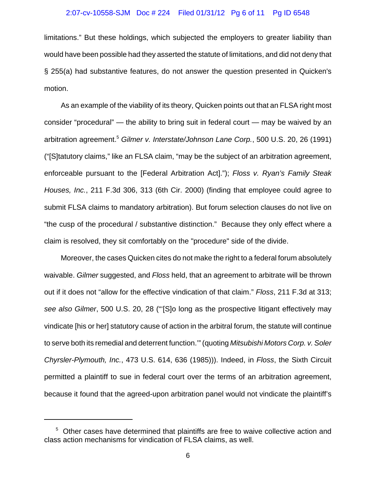### 2:07-cv-10558-SJM Doc # 224 Filed 01/31/12 Pg 6 of 11 Pg ID 6548

limitations." But these holdings, which subjected the employers to greater liability than would have been possible had they asserted the statute of limitations, and did not deny that § 255(a) had substantive features, do not answer the question presented in Quicken's motion.

As an example of the viability of its theory, Quicken points out that an FLSA right most consider "procedural" — the ability to bring suit in federal court — may be waived by an arbitration agreement.<sup>5</sup> *Gilmer v. Interstate/Johnson Lane Corp.*, 500 U.S. 20, 26 (1991) ("[S]tatutory claims," like an FLSA claim, "may be the subject of an arbitration agreement, enforceable pursuant to the [Federal Arbitration Act]."); *Floss v. Ryan's Family Steak Houses, Inc.*, 211 F.3d 306, 313 (6th Cir. 2000) (finding that employee could agree to submit FLSA claims to mandatory arbitration). But forum selection clauses do not live on "the cusp of the procedural / substantive distinction." Because they only effect where a claim is resolved, they sit comfortably on the "procedure" side of the divide.

Moreover, the cases Quicken cites do not make the right to a federal forum absolutely waivable. *Gilmer* suggested, and *Floss* held, that an agreement to arbitrate will be thrown out if it does not "allow for the effective vindication of that claim." *Floss*, 211 F.3d at 313; *see also Gilmer*, 500 U.S. 20, 28 ("'[S]o long as the prospective litigant effectively may vindicate [his or her] statutory cause of action in the arbitral forum, the statute will continue to serve both its remedial and deterrent function.'" (quoting *Mitsubishi Motors Corp. v. Soler Chyrsler-Plymouth, Inc.*, 473 U.S. 614, 636 (1985))). Indeed, in *Floss*, the Sixth Circuit permitted a plaintiff to sue in federal court over the terms of an arbitration agreement, because it found that the agreed-upon arbitration panel would not vindicate the plaintiff's

<sup>&</sup>lt;sup>5</sup> Other cases have determined that plaintiffs are free to waive collective action and class action mechanisms for vindication of FLSA claims, as well.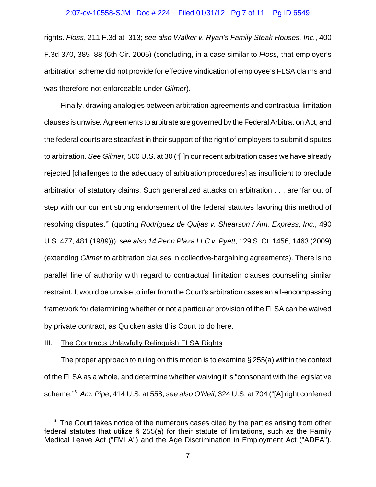#### 2:07-cv-10558-SJM Doc # 224 Filed 01/31/12 Pg 7 of 11 Pg ID 6549

rights. *Floss*, 211 F.3d at 313; *see also Walker v. Ryan's Family Steak Houses, Inc.*, 400 F.3d 370, 385–88 (6th Cir. 2005) (concluding, in a case similar to *Floss*, that employer's arbitration scheme did not provide for effective vindication of employee's FLSA claims and was therefore not enforceable under *Gilmer*).

Finally, drawing analogies between arbitration agreements and contractual limitation clauses is unwise. Agreements to arbitrate are governed by the Federal Arbitration Act, and the federal courts are steadfast in their support of the right of employers to submit disputes to arbitration. *See Gilmer*, 500 U.S. at 30 ("[I]n our recent arbitration cases we have already rejected [challenges to the adequacy of arbitration procedures] as insufficient to preclude arbitration of statutory claims. Such generalized attacks on arbitration . . . are 'far out of step with our current strong endorsement of the federal statutes favoring this method of resolving disputes.'" (quoting *Rodriguez de Quijas v. Shearson / Am. Express, Inc.*, 490 U.S. 477, 481 (1989))); *see also 14 Penn Plaza LLC v. Pyett*, 129 S. Ct. 1456, 1463 (2009) (extending *Gilmer* to arbitration clauses in collective-bargaining agreements). There is no parallel line of authority with regard to contractual limitation clauses counseling similar restraint. It would be unwise to infer from the Court's arbitration cases an all-encompassing framework for determining whether or not a particular provision of the FLSA can be waived by private contract, as Quicken asks this Court to do here.

### III. The Contracts Unlawfully Relinquish FLSA Rights

The proper approach to ruling on this motion is to examine § 255(a) within the context of the FLSA as a whole, and determine whether waiving it is "consonant with the legislative scheme."<sup>6</sup> *Am. Pipe*, 414 U.S. at 558; *see also O'Neil*, 324 U.S. at 704 ("[A] right conferred

<sup>&</sup>lt;sup>6</sup> The Court takes notice of the numerous cases cited by the parties arising from other federal statutes that utilize § 255(a) for their statute of limitations, such as the Family Medical Leave Act ("FMLA") and the Age Discrimination in Employment Act ("ADEA").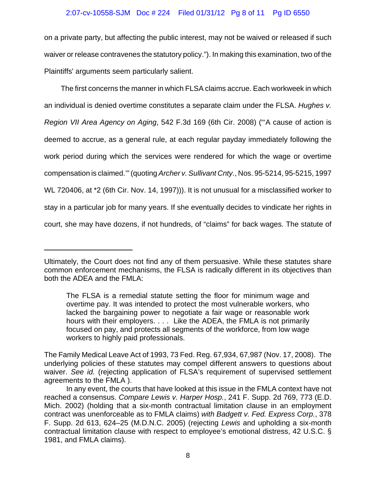## 2:07-cv-10558-SJM Doc # 224 Filed 01/31/12 Pg 8 of 11 Pg ID 6550

on a private party, but affecting the public interest, may not be waived or released if such waiver or release contravenes the statutory policy."). In making this examination, two of the Plaintiffs' arguments seem particularly salient.

The first concerns the manner in which FLSA claims accrue. Each workweek in which an individual is denied overtime constitutes a separate claim under the FLSA. *Hughes v. Region VII Area Agency on Aging*, 542 F.3d 169 (6th Cir. 2008) ("'A cause of action is deemed to accrue, as a general rule, at each regular payday immediately following the work period during which the services were rendered for which the wage or overtime compensation is claimed.'" (quoting *Archer v. Sullivant Cnty.*, Nos. 95-5214, 95-5215, 1997 WL 720406, at \*2 (6th Cir. Nov. 14, 1997))). It is not unusual for a misclassified worker to stay in a particular job for many years. If she eventually decides to vindicate her rights in court, she may have dozens, if not hundreds, of "claims" for back wages. The statute of

Ultimately, the Court does not find any of them persuasive. While these statutes share common enforcement mechanisms, the FLSA is radically different in its objectives than both the ADEA and the FMLA:

The FLSA is a remedial statute setting the floor for minimum wage and overtime pay. It was intended to protect the most vulnerable workers, who lacked the bargaining power to negotiate a fair wage or reasonable work hours with their employers. . . . Like the ADEA, the FMLA is not primarily focused on pay, and protects all segments of the workforce, from low wage workers to highly paid professionals.

The Family Medical Leave Act of 1993, 73 Fed. Reg. 67,934, 67,987 (Nov. 17, 2008). The underlying policies of these statutes may compel different answers to questions about waiver. *See id.* (rejecting application of FLSA's requirement of supervised settlement agreements to the FMLA ).

In any event, the courts that have looked at this issue in the FMLA context have not reached a consensus. *Compare Lewis v. Harper Hosp.*, 241 F. Supp. 2d 769, 773 (E.D. Mich. 2002) (holding that a six-month contractual limitation clause in an employment contract was unenforceable as to FMLA claims) *with Badgett v. Fed. Express Corp.*, 378 F. Supp. 2d 613, 624–25 (M.D.N.C. 2005) (rejecting *Lewis* and upholding a six-month contractual limitation clause with respect to employee's emotional distress, 42 U.S.C. § 1981, and FMLA claims).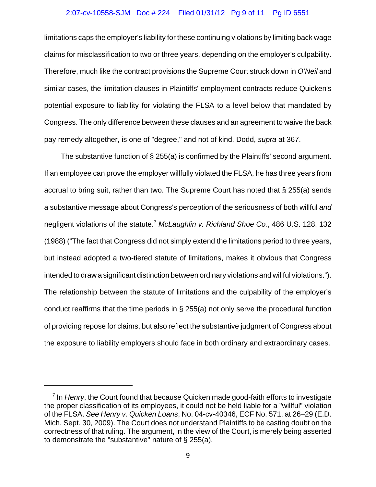## 2:07-cv-10558-SJM Doc # 224 Filed 01/31/12 Pg 9 of 11 Pg ID 6551

limitations caps the employer's liability for these continuing violations by limiting back wage claims for misclassification to two or three years, depending on the employer's culpability. Therefore, much like the contract provisions the Supreme Court struck down in *O'Neil* and similar cases, the limitation clauses in Plaintiffs' employment contracts reduce Quicken's potential exposure to liability for violating the FLSA to a level below that mandated by Congress. The only difference between these clauses and an agreement to waive the back pay remedy altogether, is one of "degree," and not of kind. Dodd, *supra* at 367.

The substantive function of § 255(a) is confirmed by the Plaintiffs' second argument. If an employee can prove the employer willfully violated the FLSA, he has three years from accrual to bring suit, rather than two. The Supreme Court has noted that § 255(a) sends a substantive message about Congress's perception of the seriousness of both willful *and* negligent violations of the statute.<sup>7</sup> *McLaughlin v. Richland Shoe Co.*, 486 U.S. 128, 132 (1988) ("The fact that Congress did not simply extend the limitations period to three years, but instead adopted a two-tiered statute of limitations, makes it obvious that Congress intended to draw a significant distinction between ordinary violations and willful violations."). The relationship between the statute of limitations and the culpability of the employer's conduct reaffirms that the time periods in § 255(a) not only serve the procedural function of providing repose for claims, but also reflect the substantive judgment of Congress about the exposure to liability employers should face in both ordinary and extraordinary cases.

<sup>&</sup>lt;sup>7</sup> In *Henry*, the Court found that because Quicken made good-faith efforts to investigate the proper classification of its employees, it could not be held liable for a "willful" violation of the FLSA. *See Henry v. Quicken Loans*, No. 04-cv-40346, ECF No. 571, at 26–29 (E.D. Mich. Sept. 30, 2009). The Court does not understand Plaintiffs to be casting doubt on the correctness of that ruling. The argument, in the view of the Court, is merely being asserted to demonstrate the "substantive" nature of § 255(a).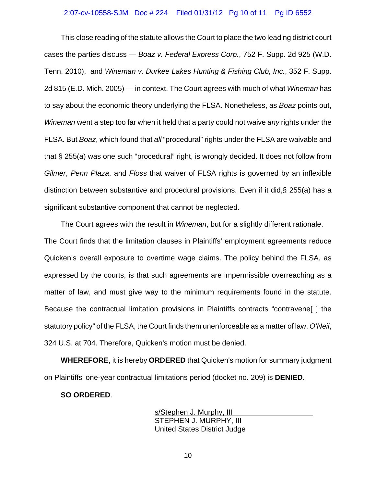### 2:07-cv-10558-SJM Doc # 224 Filed 01/31/12 Pg 10 of 11 Pg ID 6552

This close reading of the statute allows the Court to place the two leading district court cases the parties discuss — *Boaz v. Federal Express Corp.*, 752 F. Supp. 2d 925 (W.D. Tenn. 2010), and *Wineman v. Durkee Lakes Hunting & Fishing Club, Inc.*, 352 F. Supp. 2d 815 (E.D. Mich. 2005) — in context. The Court agrees with much of what *Wineman* has to say about the economic theory underlying the FLSA. Nonetheless, as *Boaz* points out, *Wineman* went a step too far when it held that a party could not waive *any* rights under the FLSA. But *Boaz*, which found that *all* "procedural" rights under the FLSA are waivable and that § 255(a) was one such "procedural" right, is wrongly decided. It does not follow from *Gilmer*, *Penn Plaza*, and *Floss* that waiver of FLSA rights is governed by an inflexible distinction between substantive and procedural provisions. Even if it did,§ 255(a) has a significant substantive component that cannot be neglected.

The Court agrees with the result in *Wineman*, but for a slightly different rationale. The Court finds that the limitation clauses in Plaintiffs' employment agreements reduce Quicken's overall exposure to overtime wage claims. The policy behind the FLSA, as expressed by the courts, is that such agreements are impermissible overreaching as a matter of law, and must give way to the minimum requirements found in the statute. Because the contractual limitation provisions in Plaintiffs contracts "contravene[ ] the statutory policy" of the FLSA, the Court finds them unenforceable as a matter of law. *O'Neil*, 324 U.S. at 704. Therefore, Quicken's motion must be denied.

**WHEREFORE**, it is hereby **ORDERED** that Quicken's motion for summary judgment on Plaintiffs' one-year contractual limitations period (docket no. 209) is **DENIED**.

### **SO ORDERED**.

s/Stephen J. Murphy, III STEPHEN J. MURPHY, III United States District Judge

10